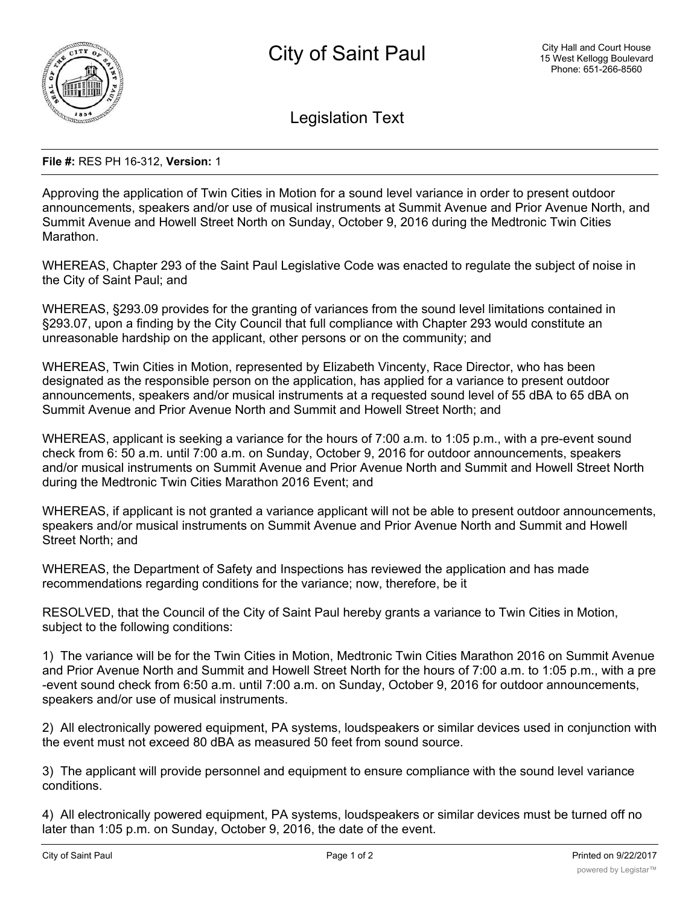

Legislation Text

## **File #:** RES PH 16-312, **Version:** 1

Approving the application of Twin Cities in Motion for a sound level variance in order to present outdoor announcements, speakers and/or use of musical instruments at Summit Avenue and Prior Avenue North, and Summit Avenue and Howell Street North on Sunday, October 9, 2016 during the Medtronic Twin Cities Marathon.

WHEREAS, Chapter 293 of the Saint Paul Legislative Code was enacted to regulate the subject of noise in the City of Saint Paul; and

WHEREAS, §293.09 provides for the granting of variances from the sound level limitations contained in §293.07, upon a finding by the City Council that full compliance with Chapter 293 would constitute an unreasonable hardship on the applicant, other persons or on the community; and

WHEREAS, Twin Cities in Motion, represented by Elizabeth Vincenty, Race Director, who has been designated as the responsible person on the application, has applied for a variance to present outdoor announcements, speakers and/or musical instruments at a requested sound level of 55 dBA to 65 dBA on Summit Avenue and Prior Avenue North and Summit and Howell Street North; and

WHEREAS, applicant is seeking a variance for the hours of 7:00 a.m. to 1:05 p.m., with a pre-event sound check from 6: 50 a.m. until 7:00 a.m. on Sunday, October 9, 2016 for outdoor announcements, speakers and/or musical instruments on Summit Avenue and Prior Avenue North and Summit and Howell Street North during the Medtronic Twin Cities Marathon 2016 Event; and

WHEREAS, if applicant is not granted a variance applicant will not be able to present outdoor announcements, speakers and/or musical instruments on Summit Avenue and Prior Avenue North and Summit and Howell Street North; and

WHEREAS, the Department of Safety and Inspections has reviewed the application and has made recommendations regarding conditions for the variance; now, therefore, be it

RESOLVED, that the Council of the City of Saint Paul hereby grants a variance to Twin Cities in Motion, subject to the following conditions:

1) The variance will be for the Twin Cities in Motion, Medtronic Twin Cities Marathon 2016 on Summit Avenue and Prior Avenue North and Summit and Howell Street North for the hours of 7:00 a.m. to 1:05 p.m., with a pre -event sound check from 6:50 a.m. until 7:00 a.m. on Sunday, October 9, 2016 for outdoor announcements, speakers and/or use of musical instruments.

2) All electronically powered equipment, PA systems, loudspeakers or similar devices used in conjunction with the event must not exceed 80 dBA as measured 50 feet from sound source.

3) The applicant will provide personnel and equipment to ensure compliance with the sound level variance conditions.

4) All electronically powered equipment, PA systems, loudspeakers or similar devices must be turned off no later than 1:05 p.m. on Sunday, October 9, 2016, the date of the event.